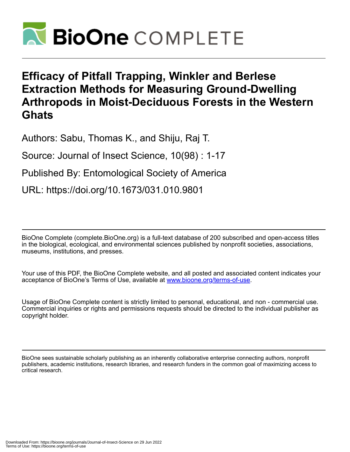

# **Efficacy of Pitfall Trapping, Winkler and Berlese Extraction Methods for Measuring Ground-Dwelling Arthropods in Moist-Deciduous Forests in the Western Ghats**

Authors: Sabu, Thomas K., and Shiju, Raj T.

Source: Journal of Insect Science, 10(98) : 1-17

Published By: Entomological Society of America

URL: https://doi.org/10.1673/031.010.9801

BioOne Complete (complete.BioOne.org) is a full-text database of 200 subscribed and open-access titles in the biological, ecological, and environmental sciences published by nonprofit societies, associations, museums, institutions, and presses.

Your use of this PDF, the BioOne Complete website, and all posted and associated content indicates your acceptance of BioOne's Terms of Use, available at www.bioone.org/terms-of-use.

Usage of BioOne Complete content is strictly limited to personal, educational, and non - commercial use. Commercial inquiries or rights and permissions requests should be directed to the individual publisher as copyright holder.

BioOne sees sustainable scholarly publishing as an inherently collaborative enterprise connecting authors, nonprofit publishers, academic institutions, research libraries, and research funders in the common goal of maximizing access to critical research.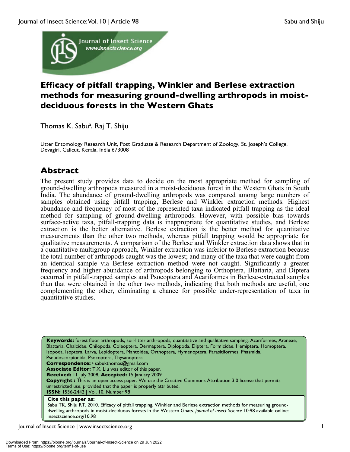

# **Efficacy of pitfall trapping, Winkler and Berlese extraction methods for measuring ground-dwelling arthropods in moistdeciduous forests in the Western Ghats**

Thomas K. Sabu<sup>a</sup>, Raj T. Shiju

Litter Entomology Research Unit, Post Graduate & Research Department of Zoology, St. Joseph's College, Devagiri, Calicut, Kerala, India 673008

# **Abstract**

The present study provides data to decide on the most appropriate method for sampling of ground-dwelling arthropods measured in a moist-deciduous forest in the Western Ghats in South India. The abundance of ground-dwelling arthropods was compared among large numbers of samples obtained using pitfall trapping, Berlese and Winkler extraction methods. Highest abundance and frequency of most of the represented taxa indicated pitfall trapping as the ideal method for sampling of ground-dwelling arthropods. However, with possible bias towards surface-active taxa, pitfall-trapping data is inappropriate for quantitative studies, and Berlese extraction is the better alternative. Berlese extraction is the better method for quantitative measurements than the other two methods, whereas pitfall trapping would be appropriate for qualitative measurements. A comparison of the Berlese and Winkler extraction data shows that in a quantitative multigroup approach, Winkler extraction was inferior to Berlese extraction because the total number of arthropods caught was the lowest; and many of the taxa that were caught from an identical sample via Berlese extraction method were not caught. Significantly a greater frequency and higher abundance of arthropods belonging to Orthoptera, Blattaria, and Diptera occurred in pitfall-trapped samples and Psocoptera and Acariformes in Berlese-extracted samples than that were obtained in the other two methods, indicating that both methods are useful, one complementing the other, eliminating a chance for possible under-representation of taxa in quantitative studies.

**Keywords:** forest floor arthropods, soil-litter arthropods, quantitative and qualitative sampling, Acariformes, Araneae, Blattaria, Chalcidae, Chilopoda, Coleoptera, Dermaptera, Diplopoda, Diptera, Formicidae, Hemiptera, Homoptera, Isopoda, Isoptera, Larva, Lepidoptera, Mantoidea, Orthoptera, Hymenoptera, Parasitiformes, Phasmida, Pseudoscorpionida, Psocoptera, Thysanoptera **Correspondence:** <sup>a</sup> sabukthomas@gmail.com **Associate Editor:** T.X. Liu was editor of this paper. **Received:** 11 July 2008, **Accepted:** 15 January 2009 **Copyright :** This is an open access paper. We use the Creative Commons Attribution 3.0 license that permits unrestricted use, provided that the paper is properly attributed. **ISSN:** 1536-2442 | Vol. 10, Number 98 **Cite this paper as:** Sabu TK, Shiju RT. 2010. Efficacy of pitfall trapping, Winkler and Berlese extraction methods for measuring grounddwelling arthropods in moist-deciduous forests in the Western Ghats*. Journal of Insect Science* 10:98 available online: insectscience.org/10.98

Journal of Insect Science | www.insectscience.org 1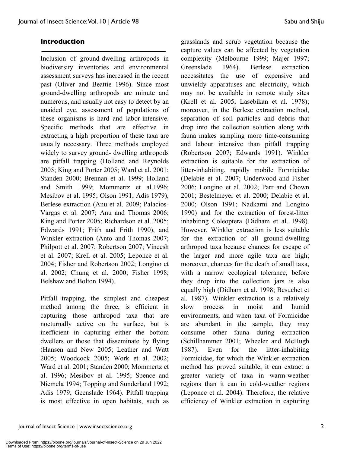#### **Introduction**

Inclusion of ground-dwelling arthropods in biodiversity inventories and environmental assessment surveys has increased in the recent past (Oliver and Beattie 1996). Since most ground-dwelling arthropods are minute and numerous, and usually not easy to detect by an unaided eye, assessment of populations of these organisms is hard and labor-intensive. Specific methods that are effective in extracting a high proportion of these taxa are usually necessary. Three methods employed widely to survey ground- dwelling arthropods are pitfall trapping (Holland and Reynolds 2005; King and Porter 2005; Ward et al. 2001; Standen 2000; Brennan et al. 1999; Holland and Smith 1999; Mommertz et al.1996; Mesibov et al. 1995; Olson 1991; Adis 1979), Berlese extraction (Anu et al. 2009; Palacios-Vargas et al. 2007; Anu and Thomas 2006; King and Porter 2005; Richardson et al. 2005; Edwards 1991; Frith and Frith 1990), and Winkler extraction (Anto and Thomas 2007; Philpott et al. 2007; Robertson 2007; Vineesh et al. 2007; Krell et al. 2005; Leponce et al. 2004; Fisher and Robertson 2002; Longino et al. 2002; Chung et al. 2000; Fisher 1998; Belshaw and Bolton 1994).

Pitfall trapping, the simplest and cheapest method among the three, is efficient in capturing those arthropod taxa that are nocturnally active on the surface, but is inefficient in capturing either the bottom dwellers or those that disseminate by flying (Hansen and New 2005; Leather and Watt 2005; Woodcock 2005; Work et al. 2002; Ward et al. 2001; Standen 2000; Mommertz et al. 1996; Mesibov et al. 1995; Spence and Niemela 1994; Topping and Sunderland 1992; Adis 1979; Geenslade 1964). Pitfall trapping is most effective in open habitats, such as grasslands and scrub vegetation because the capture values can be affected by vegetation complexity (Melbourne 1999; Majer 1997; Greenslade 1964). Berlese extraction necessitates the use of expensive and unwieldy apparatuses and electricity, which may not be available in remote study sites (Krell et al. 2005; Lasebikan et al. 1978); moreover, in the Berlese extraction method, separation of soil particles and debris that drop into the collection solution along with fauna makes sampling more time-consuming and labour intensive than pitfall trapping (Robertson 2007; Edwards 1991). Winkler extraction is suitable for the extraction of litter-inhabiting, rapidly mobile Formicidae (Delabie et al. 2007; Underwood and Fisher 2006; Longino et al. 2002; Parr and Chown 2001; Bestelmeyer et al. 2000; Delabie et al. 2000; Olson 1991; Nadkarni and Longino 1990) and for the extraction of forest-litter inhabiting Coleoptera (Didham et al. 1998). However, Winkler extraction is less suitable for the extraction of all ground-dwelling arthropod taxa because chances for escape of the larger and more agile taxa are high; moreover, chances for the death of small taxa, with a narrow ecological tolerance, before they drop into the collection jars is also equally high (Didham et al. 1998; Besuchet et al. 1987). Winkler extraction is a relatively slow process in moist and humid environments, and when taxa of Formicidae are abundant in the sample, they may consume other fauna during extraction (Schillhammer 2001; Wheeler and McHugh 1987). Even for the litter-inhabiting Formicidae, for which the Winkler extraction method has proved suitable, it can extract a greater variety of taxa in warm-weather regions than it can in cold-weather regions (Leponce et al. 2004). Therefore, the relative efficiency of Winkler extraction in capturing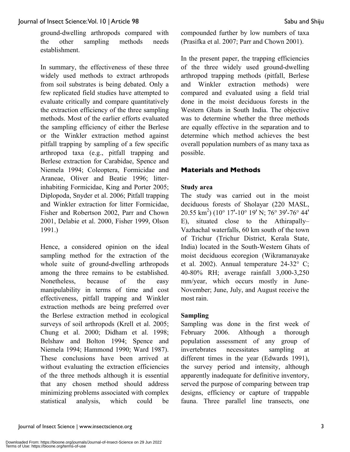ground-dwelling arthropods compared with the other sampling methods needs establishment.

In summary, the effectiveness of these three widely used methods to extract arthropods from soil substrates is being debated. Only a few replicated field studies have attempted to evaluate critically and compare quantitatively the extraction efficiency of the three sampling methods. Most of the earlier efforts evaluated the sampling efficiency of either the Berlese or the Winkler extraction method against pitfall trapping by sampling of a few specific arthropod taxa (e.g., pitfall trapping and Berlese extraction for Carabidae, Spence and Niemela 1994; Coleoptera, Formicidae and Araneae, Oliver and Beatie 1996; litterinhabiting Formicidae, King and Porter 2005; Diplopoda, Snyder et al. 2006; Pitfall trapping and Winkler extraction for litter Formicidae, Fisher and Robertson 2002, Parr and Chown 2001, Delabie et al. 2000, Fisher 1999, Olson 1991.)

Hence, a considered opinion on the ideal sampling method for the extraction of the whole suite of ground-dwelling arthropods among the three remains to be established. Nonetheless, because of the easy manipulability in terms of time and cost effectiveness, pitfall trapping and Winkler extraction methods are being preferred over the Berlese extraction method in ecological surveys of soil arthropods (Krell et al. 2005; Chung et al. 2000; Didham et al. 1998; Belshaw and Bolton 1994; Spence and Niemela 1994; Hammond 1990; Ward 1987). These conclusions have been arrived at without evaluating the extraction efficiencies of the three methods although it is essential that any chosen method should address minimizing problems associated with complex statistical analysis, which could be compounded further by low numbers of taxa (Prasifka et al. 2007; Parr and Chown 2001).

In the present paper, the trapping efficiencies of the three widely used ground-dwelling arthropod trapping methods (pitfall, Berlese and Winkler extraction methods) were compared and evaluated using a field trial done in the moist deciduous forests in the Western Ghats in South India. The objective was to determine whether the three methods are equally effective in the separation and to determine which method achieves the best overall population numbers of as many taxa as possible.

# **Materials and Methods**

# **Study area**

The study was carried out in the moist deciduous forests of Sholayar (220 MASL, 20.55 km2 ) (10° 17'-10° 19' N; 76° 39'-76° 44' E), situated close to the Athirapally– Vazhachal waterfalls, 60 km south of the town of Trichur (Trichur District, Kerala State, India) located in the South-Western Ghats of moist deciduous ecoregion (Wikramanayake et al. 2002). Annual temperature 24-32° C; 40-80% RH; average rainfall 3,000-3,250 mm/year, which occurs mostly in June-November; June, July, and August receive the most rain.

# **Sampling**

Sampling was done in the first week of February 2006. Although a thorough population assessment of any group of invertebrates necessitates sampling at different times in the year (Edwards 1991), the survey period and intensity, although apparently inadequate for definitive inventory, served the purpose of comparing between trap designs, efficiency or capture of trappable fauna. Three parallel line transects, one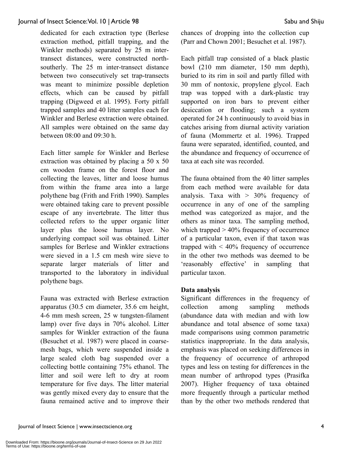dedicated for each extraction type (Berlese extraction method, pitfall trapping, and the Winkler methods) separated by 25 m intertransect distances, were constructed northsoutherly. The 25 m inter-transect distance between two consecutively set trap-transects was meant to minimize possible depletion effects, which can be caused by pitfall trapping (Digweed et al. 1995). Forty pitfall trapped samples and 40 litter samples each for Winkler and Berlese extraction were obtained. All samples were obtained on the same day between 08:00 and 09:30 h.

Each litter sample for Winkler and Berlese extraction was obtained by placing a 50 x 50 cm wooden frame on the forest floor and collecting the leaves, litter and loose humus from within the frame area into a large polythene bag (Frith and Frith 1990). Samples were obtained taking care to prevent possible escape of any invertebrate. The litter thus collected refers to the upper organic litter layer plus the loose humus layer. No underlying compact soil was obtained. Litter samples for Berlese and Winkler extractions were sieved in a 1.5 cm mesh wire sieve to separate larger materials of litter and transported to the laboratory in individual polythene bags.

Fauna was extracted with Berlese extraction apparatus (30.5 cm diameter, 35.6 cm height, 4-6 mm mesh screen, 25 w tungsten-filament lamp) over five days in 70% alcohol. Litter samples for Winkler extraction of the fauna (Besuchet et al. 1987) were placed in coarsemesh bags, which were suspended inside a large sealed cloth bag suspended over a collecting bottle containing 75% ethanol. The litter and soil were left to dry at room temperature for five days. The litter material was gently mixed every day to ensure that the fauna remained active and to improve their chances of dropping into the collection cup (Parr and Chown 2001; Besuchet et al. 1987).

Each pitfall trap consisted of a black plastic bowl (210 mm diameter, 150 mm depth), buried to its rim in soil and partly filled with 30 mm of nontoxic, propylene glycol. Each trap was topped with a dark-plastic tray supported on iron bars to prevent either desiccation or flooding; such a system operated for 24 h continuously to avoid bias in catches arising from diurnal activity variation of fauna (Mommertz et al. 1996). Trapped fauna were separated, identified, counted, and the abundance and frequency of occurrence of taxa at each site was recorded.

The fauna obtained from the 40 litter samples from each method were available for data analysis. Taxa with  $> 30\%$  frequency of occurrence in any of one of the sampling method was categorized as major, and the others as minor taxa. The sampling method, which trapped  $> 40\%$  frequency of occurrence of a particular taxon, even if that taxon was trapped with  $\leq 40\%$  frequency of occurrence in the other two methods was deemed to be 'reasonably effective' in sampling that particular taxon.

#### **Data analysis**

Significant differences in the frequency of collection among sampling methods (abundance data with median and with low abundance and total absence of some taxa) made comparisons using common parametric statistics inappropriate. In the data analysis, emphasis was placed on seeking differences in the frequency of occurrence of arthropod types and less on testing for differences in the mean number of arthropod types (Prasifka 2007). Higher frequency of taxa obtained more frequently through a particular method than by the other two methods rendered that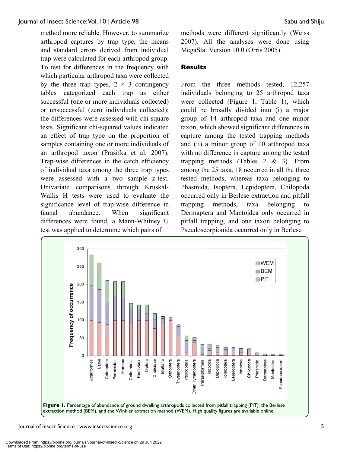method more reliable. However, to summarize arthropod captures by trap type, the means and standard errors derived from individual trap were calculated for each arthropod group. To test for differences in the frequency with which particular arthropod taxa were collected by the three trap types,  $2 \times 3$  contingency tables categorized each trap as either successful (one or more individuals collected) or unsuccessful (zero individuals collected); the differences were assessed with chi-square tests. Significant chi-squared values indicated an effect of trap type on the proportion of samples containing one or more individuals of an arthropod taxon (Prasifka et al. 2007). Trap-wise differences in the catch efficiency of individual taxa among the three trap types were assessed with a two sample z-test. Univariate comparisons through Kruskal-Wallis H tests were used to evaluate the significance level of trap-wise difference in faunal abundance. When significant differences were found, a Mann-Whitney U test was applied to determine which pairs of

methods were different significantly (Weiss 2007). All the analyses were done using MegaStat Version 10.0 (Orris 2005).

#### **Results**

From the three methods tested, 12,257 individuals belonging to 25 arthropod taxa were collected (Figure 1, Table 1), which could be broadly divided into (i) a major group of 14 arthropod taxa and one minor taxon, which showed significant differences in capture among the tested trapping methods and (ii) a minor group of 10 arthropod taxa with no difference in capture among the tested trapping methods (Tables 2 & 3). From among the 25 taxa, 18 occurred in all the three tested methods, whereas taxa belonging to Phasmida, Isoptera, Lepidoptera, Chilopoda occurred only in Berlese extraction and pitfall trapping methods, taxa belonging to Dermaptera and Mantoidea only occurred in pitfall trapping, and one taxon belonging to Pseudoscorpionida occurred only in Berlese



Journal of Insect Science | www.insectscience.org 5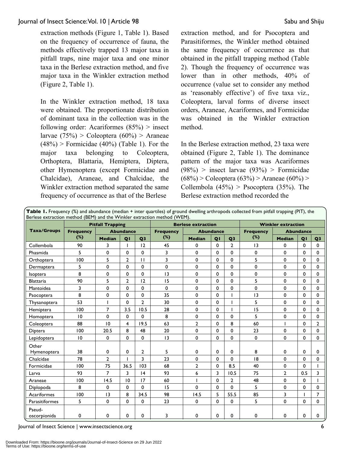extraction methods (Figure 1, Table 1). Based on the frequency of occurrence of fauna, the methods effectively trapped 13 major taxa in pitfall traps, nine major taxa and one minor taxa in the Berlese extraction method, and five major taxa in the Winkler extraction method (Figure 2, Table 1).

In the Winkler extraction method, 18 taxa were obtained. The proportionate distribution of dominant taxa in the collection was in the following order: Acariformes  $(85\%)$  > insect larvae (75%) > Coleoptera (60%) > Araneae  $(48%)$  > Formicidae  $(40%)$  (Table 1). For the major taxa belonging to Coleoptera, Orthoptera, Blattaria, Hemiptera, Diptera, other Hymenoptera (except Formicidae and Chalcidae), Araneae, and Chalcidae, the Winkler extraction method separated the same frequency of occurrence as that of the Berlese

extraction method, and for Psocoptera and Parasitiformes, the Winkler method obtained the same frequency of occurrence as that obtained in the pitfall trapping method (Table 2). Though the frequency of occurrence was lower than in other methods, 40% of occurrence (value set to consider any method as 'reasonably effective') of five taxa viz., Coleoptera, larval forms of diverse insect orders, Araneae, Acariformes, and Formicidae was obtained in the Winkler extraction method.

In the Berlese extraction method, 23 taxa were obtained (Figure 2, Table 1). The dominance pattern of the major taxa was Acariformes  $(98\%)$  > insect larvae  $(93\%)$  > Formicidae  $(68\%)$  > Coleoptera  $(63\%)$  > Araneae  $(60\%)$  > Collembola  $(45\%)$  > Psocoptera  $(35\%)$ . The Berlese extraction method recorded the

|  |                                                                          |  |  |  |  | <b>Table 1.</b> Frequency (%) and abundance (median + inter quartiles) of ground dwelling arthropods collected from pitfall trapping (PIT), the |  |  |
|--|--------------------------------------------------------------------------|--|--|--|--|-------------------------------------------------------------------------------------------------------------------------------------------------|--|--|
|  | Berlese extraction method (BEM) and the Winkler extraction method (WEM). |  |  |  |  |                                                                                                                                                 |  |  |

| $D$ and $D$ are extracted in the color of $D$ and the virtual extraction in editor (VVLi I). |                  | <b>Pitfall Trapping</b> |                |                |                  | <b>Berlese extraction</b> |              |                |                  | <b>Winkler extraction</b> |             |                |
|----------------------------------------------------------------------------------------------|------------------|-------------------------|----------------|----------------|------------------|---------------------------|--------------|----------------|------------------|---------------------------|-------------|----------------|
| <b>Taxa/Groups</b>                                                                           | <b>Frequency</b> | <b>Abundance</b>        |                |                | <b>Frequency</b> | <b>Abundance</b>          |              |                | <b>Frequency</b> | <b>Abundance</b>          |             |                |
|                                                                                              | (%)              | <b>Median</b>           | QI             | Q <sub>3</sub> | (%)              | <b>Median</b>             | QI           | Q <sub>3</sub> | (%)              | <b>Median</b>             | QI          | Q <sub>3</sub> |
| Collembola                                                                                   | 90               | 3                       |                | 12             | 45               | $\mathbf 0$               | $\mathbf 0$  | $\overline{2}$ | $\overline{13}$  | 0                         | $\mathbf 0$ | $\Omega$       |
| Phasmida                                                                                     | 5                | $\mathbf 0$             | $\Omega$       | 0              | 3                | $\mathbf 0$               | $\mathbf 0$  | $\Omega$       | 0                | 0                         | $\Omega$    | $\Omega$       |
| Orthoptera                                                                                   | 100              | 5                       | $\overline{2}$ | $\mathbf{H}$   | 3                | $\mathbf 0$               | $\mathbf 0$  | $\Omega$       | 5                | $\mathbf 0$               | 0           | $\mathbf 0$    |
| Dermaptera                                                                                   | 5                | 0                       | 0              | 0              | 0                | 0                         | 0            | $\mathbf 0$    | 0                | $\mathbf 0$               | 0           | $\mathbf 0$    |
| <b>Isoptera</b>                                                                              | 8                | $\Omega$                | $\Omega$       | $\Omega$       | 3                | $\Omega$                  | $\Omega$     | $\Omega$       | $\mathbf 0$      | $\Omega$                  | 0           | $\Omega$       |
| <b>Blattaria</b>                                                                             | 90               | 5                       | $\overline{2}$ | 12             | 15               | $\mathbf 0$               | 0            | $\mathbf 0$    | 5                | 0                         | 0           | $\mathbf 0$    |
| Mantoidea                                                                                    | 3                | 0                       | $\mathbf 0$    | 0              | 0                | 0                         | $\mathbf 0$  | $\mathbf 0$    | $\mathbf 0$      | $\mathbf 0$               | 0           | $\mathbf 0$    |
| Psocoptera                                                                                   | 8                | $\mathbf 0$             | $\Omega$       | $\Omega$       | 35               | $\Omega$                  | $\mathbf 0$  |                | 13               | $\Omega$                  | 0           | $\Omega$       |
| Thysanoptera                                                                                 | 53               |                         | $\Omega$       | $\overline{2}$ | 30               | $\Omega$                  | 0            |                | 5                | 0                         | 0           | $\Omega$       |
| Hemiptera                                                                                    | 100              | $\overline{7}$          | 3.5            | 10.5           | 28               | $\mathbf 0$               | $\mathbf 0$  |                | 15               | $\mathbf 0$               | 0           | $\Omega$       |
| Homoptera                                                                                    | 10               | $\mathbf 0$             | $\mathbf 0$    | 0              | 8                | $\mathbf 0$               | 0            | $\mathbf 0$    | 5                | $\mathbf 0$               | 0           | $\mathbf 0$    |
| Coleoptera                                                                                   | 88               | 10                      | 4              | 19.5           | 63               | $\overline{2}$            | 0            | 8              | 60               |                           | 0           | $\overline{2}$ |
| Diptera                                                                                      | 100              | 20.5                    | 8              | 48             | 20               | 0                         | 0            | $\Omega$       | 23               | $\Omega$                  | $\Omega$    | $\mathbf 0$    |
| Lepidoptera                                                                                  | $\overline{10}$  | $\mathbf 0$             | 0              | 0              | $\overline{13}$  | 0                         | $\mathbf{0}$ | $\mathbf 0$    | $\mathbf 0$      | $\mathbf 0$               | 0           | $\mathbf{0}$   |
| Other<br>Hymenoptera                                                                         | 38               | $\mathbf{0}$            | $\mathbf 0$    | $\overline{2}$ | 5                | 0                         | 0            | $\mathbf 0$    | 8                | 0                         | 0           | $\mathbf 0$    |
| Chalcidae                                                                                    | 78               | $\overline{2}$          |                | 3              | 23               | $\Omega$                  | $\mathbf 0$  | $\Omega$       | 18               | $\Omega$                  | $\Omega$    | $\Omega$       |
| Formicidae                                                                                   | 100              | 75                      | 36.5           | 103            | 68               | $\overline{2}$            | 0            | 8.5            | 40               | 0                         | $\Omega$    |                |
| Larva                                                                                        | 93               | $\overline{7}$          | 3              | 4              | 93               | 6                         | 3            | 10.5           | 75               | $\mathbf{2}$              | 0.5         | 3              |
| Araneae                                                                                      | 100              | 14.5                    | 10             | 17             | 60               |                           | 0            | $\overline{2}$ | 48               | 0                         | 0           |                |
| Diplopoda                                                                                    | 8                | $\mathbf 0$             | $\Omega$       | $\Omega$       | 15               | $\Omega$                  | 0            | $\Omega$       | 5                | 0                         | 0           | $\mathbf 0$    |
| Acariformes                                                                                  | 100              | 3                       | 8              | 34.5           | 98               | 14.5                      | 5            | 55.5           | 85               | 3                         |             | $\overline{7}$ |
| Parasitiformes                                                                               | 5                | $\mathbf 0$             | $\Omega$       | $\mathbf 0$    | 23               | $\mathbf 0$               | $\mathbf{0}$ | $\mathbf{0}$   | 5                | $\Omega$                  | $\mathbf 0$ | $\Omega$       |
| Pseud-<br>oscorpionida                                                                       | 0                | $\mathbf 0$             | 0              | 0              | 3                | 0                         | $\mathbf 0$  | $\mathbf 0$    | $\mathbf 0$      | 0                         | 0           | 0              |

Journal of Insect Science | www.insectscience.org 6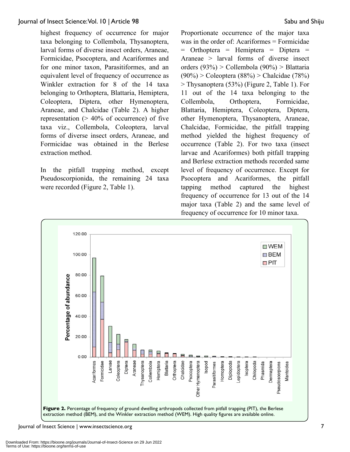highest frequency of occurrence for major taxa belonging to Collembola, Thysanoptera, larval forms of diverse insect orders, Araneae, Formicidae, Psocoptera, and Acariformes and for one minor taxon, Parasitiformes, and an equivalent level of frequency of occurrence as Winkler extraction for 8 of the 14 taxa belonging to Orthoptera, Blattaria, Hemiptera, Coleoptera, Diptera, other Hymenoptera, Araneae, and Chalcidae (Table 2). A higher representation  $(> 40\%$  of occurrence) of five taxa viz., Collembola, Coleoptera, larval forms of diverse insect orders, Araneae, and Formicidae was obtained in the Berlese extraction method.

In the pitfall trapping method, except Pseudoscorpionida, the remaining 24 taxa were recorded (Figure 2, Table 1).

Proportionate occurrence of the major taxa was in the order of: Acariformes = Formicidae = Orthoptera = Hemiptera = Diptera = Araneae > larval forms of diverse insect orders (93%) > Collembola (90%) > Blattaria (90%) > Coleoptera (88%) > Chalcidae (78%) > Thysanoptera (53%) (Figure 2, Table 1). For 11 out of the 14 taxa belonging to the Collembola, Orthoptera, Formicidae, Blattaria, Hemiptera, Coleoptera, Diptera, other Hymenoptera, Thysanoptera, Araneae, Chalcidae, Formicidae, the pitfall trapping method yielded the highest frequency of occurrence (Table 2). For two taxa (insect larvae and Acariformes) both pitfall trapping and Berlese extraction methods recorded same level of frequency of occurrence. Except for Psocoptera and Acariformes, the pitfall tapping method captured the highest frequency of occurrence for 13 out of the 14 major taxa (Table 2) and the same level of frequency of occurrence for 10 minor taxa.



Journal of Insect Science | www.insectscience.org 7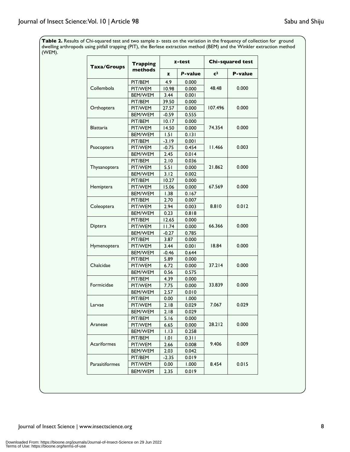**Table 2.** Results of Chi-squared test and two sample z- tests on the variation in the frequency of collection for ground dwelling arthropods using pitfall trapping (PIT), the Berlese extraction method (BEM) and the Winkler extraction method (WEM).

| <b>Taxa/Groups</b>    | <b>Trapping</b>          |         | z-test  | <b>Chi-squared test</b> |         |  |
|-----------------------|--------------------------|---------|---------|-------------------------|---------|--|
|                       | methods                  | z       | P-value | c <sup>2</sup>          | P-value |  |
|                       | PIT/BEM                  | 4.9     | 0.000   |                         |         |  |
| Collembola            | PIT/WEM                  | 10.98   | 0.000   | 48.48                   | 0.000   |  |
|                       | <b>BEM/WEM</b>           | 3.44    | 0.001   |                         |         |  |
|                       | PIT/BEM                  | 39.50   | 0.000   |                         |         |  |
| Orthoptera            | PIT/WEM                  | 27.57   | 0.000   | 107.496                 | 0.000   |  |
|                       | BEM/WEM                  | $-0.59$ | 0.555   |                         |         |  |
|                       | PIT/BEM                  | 10.17   | 0.000   |                         | 0.000   |  |
| <b>Blattaria</b>      | PIT/WEM                  | 14.50   | 0.000   | 74.354                  |         |  |
|                       | <b>BEM/WEM</b>           | 1.51    | 0.131   |                         |         |  |
|                       | PIT/BEM                  | $-3.19$ | 0.001   |                         |         |  |
| Psocoptera            | PIT/WEM                  | $-0.75$ | 0.454   | 11.466                  | 0.003   |  |
|                       | <b>BEM/WEM</b>           | 2.45    | 0.014   |                         |         |  |
|                       | 2.10<br>PIT/BEM<br>0.036 |         |         |                         |         |  |
| Thysanoptera          | PIT/WEM                  | 5.51    | 0.000   | 21.862                  | 0.000   |  |
|                       | <b>BEM/WEM</b>           | 3.12    | 0.002   |                         |         |  |
|                       | PIT/BEM                  | 10.27   | 0.000   |                         | 0.000   |  |
| Hemiptera             | PIT/WEM                  | 15.06   | 0.000   | 67.569                  |         |  |
|                       | <b>BEM/WEM</b>           | 1.38    | 0.167   |                         |         |  |
|                       | PIT/BEM                  | 2.70    | 0.007   |                         | 0.012   |  |
| Coleoptera            | PIT/WEM                  | 2.94    | 0.003   | 8.810                   |         |  |
|                       | <b>BEM/WEM</b>           | 0.23    | 0.818   |                         |         |  |
|                       | PIT/BEM                  | 12.65   | 0.000   |                         | 0.000   |  |
| Diptera               | PIT/WEM                  | 11.74   | 0.000   | 66.366                  |         |  |
|                       | <b>BEM/WEM</b>           | $-0.27$ | 0.785   |                         |         |  |
|                       | PIT/BEM                  | 3.87    | 0.000   |                         | 0.000   |  |
| Hymenoptera           | PIT/WEM                  | 3.44    | 0.001   | 18.84                   |         |  |
|                       | <b>BEM/WEM</b>           | $-0.46$ | 0.644   |                         |         |  |
|                       | PIT/BEM                  | 5.89    | 0.000   |                         | 0.000   |  |
| Chalcidae             | PIT/WEM                  | 6.72    | 0.000   | 37.214                  |         |  |
|                       | BEM/WEM                  | 0.56    | 0.575   |                         |         |  |
|                       | PIT/BEM                  | 4.39    | 0.000   |                         | 0.000   |  |
| Formicidae            | PIT/WEM                  | 7.75    | 0.000   | 33.839                  |         |  |
|                       | <b>BEM/WEM</b>           | 2.57    | 0.010   |                         |         |  |
|                       | PIT/BEM                  | 0.00    | 1.000   |                         |         |  |
| Larvae                | PIT/WEM                  | 2.18    | 0.029   | 7.067                   | 0.029   |  |
|                       | BEM/WEM                  | 2.18    | 0.029   |                         |         |  |
|                       | PIT/BEM                  | 5.16    | 0.000   |                         | 0.000   |  |
| Araneae               | PIT/WEM                  | 6.65    | 0.000   | 28.212                  |         |  |
|                       | <b>BEM/WEM</b>           | 1.13    | 0.258   |                         |         |  |
|                       | PIT/BEM                  | 1.01    | 0.311   |                         | 0.009   |  |
| Acariformes           | PIT/WEM                  | 2.66    | 0.008   | 9.406                   |         |  |
|                       | <b>BEM/WEM</b>           | 2.03    | 0.042   |                         |         |  |
|                       | PIT/BEM                  | $-2.35$ | 0.019   |                         |         |  |
| <b>Parasitiformes</b> | PIT/WEM                  | 0.00    | 1.000   | 8.454                   | 0.015   |  |
|                       | BEM/WEM                  | 2.35    | 0.019   |                         |         |  |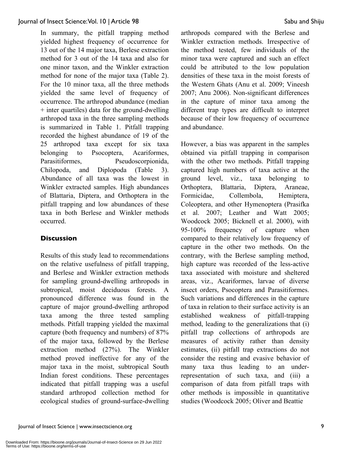In summary, the pitfall trapping method yielded highest frequency of occurrence for 13 out of the 14 major taxa, Berlese extraction method for 3 out of the 14 taxa and also for one minor taxon, and the Winkler extraction method for none of the major taxa (Table 2). For the 10 minor taxa, all the three methods yielded the same level of frequency of occurrence. The arthropod abundance (median + inter quartiles) data for the ground-dwelling arthropod taxa in the three sampling methods is summarized in Table 1. Pitfall trapping recorded the highest abundance of 19 of the 25 arthropod taxa except for six taxa belonging to Psocoptera, Acariformes, Parasitiformes, Pseudoscorpionida, Chilopoda, and Diplopoda (Table 3). Abundance of all taxa was the lowest in Winkler extracted samples. High abundances of Blattaria, Diptera, and Orthoptera in the pitfall trapping and low abundances of these taxa in both Berlese and Winkler methods occurred.

#### **Discussion**

Results of this study lead to recommendations on the relative usefulness of pitfall trapping, and Berlese and Winkler extraction methods for sampling ground-dwelling arthropods in subtropical, moist deciduous forests. A pronounced difference was found in the capture of major ground-dwelling arthropod taxa among the three tested sampling methods. Pitfall trapping yielded the maximal capture (both frequency and numbers) of 87% of the major taxa, followed by the Berlese extraction method (27%). The Winkler method proved ineffective for any of the major taxa in the moist, subtropical South Indian forest conditions. These percentages indicated that pitfall trapping was a useful standard arthropod collection method for ecological studies of ground-surface-dwelling arthropods compared with the Berlese and Winkler extraction methods. Irrespective of the method tested, few individuals of the minor taxa were captured and such an effect could be attributed to the low population densities of these taxa in the moist forests of the Western Ghats (Anu et al. 2009; Vineesh 2007; Anu 2006). Non-significant differences in the capture of minor taxa among the different trap types are difficult to interpret because of their low frequency of occurrence and abundance.

However, a bias was apparent in the samples obtained via pitfall trapping in comparison with the other two methods. Pitfall trapping captured high numbers of taxa active at the ground level, viz., taxa belonging to Orthoptera, Blattaria, Diptera, Araneae, Formicidae, Collembola, Hemiptera, Coleoptera, and other Hymenoptera (Prasifka et al. 2007; Leather and Watt 2005; Woodcock 2005; Bicknell et al. 2000), with 95-100% frequency of capture when compared to their relatively low frequency of capture in the other two methods. On the contrary, with the Berlese sampling method, high capture was recorded of the less-active taxa associated with moisture and sheltered areas, viz., Acariformes, larvae of diverse insect orders, Psocoptera and Parasitiformes. Such variations and differences in the capture of taxa in relation to their surface activity is an established weakness of pitfall-trapping method, leading to the generalizations that (i) pitfall trap collections of arthropods are measures of activity rather than density estimates, (ii) pitfall trap extractions do not consider the resting and evasive behavior of many taxa thus leading to an underrepresentation of such taxa, and (iii) a comparison of data from pitfall traps with other methods is impossible in quantitative studies (Woodcock 2005; Oliver and Beattie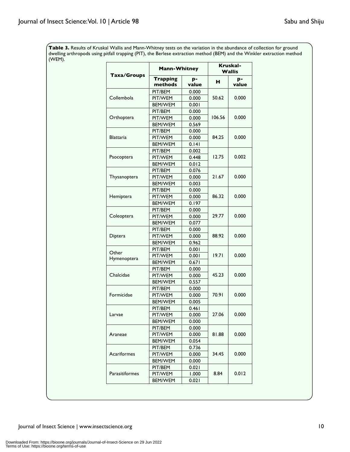**Table 3.** Results of Kruskal Wallis and Mann-Whitney tests on the variation in the abundance of collection for ground dwelling arthropods using pitfall trapping (PIT), the Berlese extraction method (BEM) and the Winkler extraction method (WEM).

| н.                                                          |                        |  |
|-------------------------------------------------------------|------------------------|--|
| value                                                       | p-<br>value            |  |
|                                                             |                        |  |
| 50.62                                                       | 0.000                  |  |
|                                                             |                        |  |
|                                                             |                        |  |
| 106.56                                                      | 0.000                  |  |
|                                                             |                        |  |
|                                                             |                        |  |
| 84.25                                                       | 0.000                  |  |
|                                                             |                        |  |
|                                                             |                        |  |
| 12.75                                                       | 0.002                  |  |
|                                                             |                        |  |
|                                                             | 0.000                  |  |
| 21.67                                                       |                        |  |
|                                                             |                        |  |
|                                                             |                        |  |
| 86.32                                                       | 0.000                  |  |
|                                                             |                        |  |
|                                                             |                        |  |
| 29.77                                                       | 0.000                  |  |
|                                                             |                        |  |
|                                                             |                        |  |
| 88.92                                                       | 0.000                  |  |
|                                                             |                        |  |
|                                                             |                        |  |
| 19.71                                                       | 0.000                  |  |
|                                                             |                        |  |
|                                                             |                        |  |
| 45.23                                                       | 0.000                  |  |
|                                                             |                        |  |
|                                                             |                        |  |
| 70.91                                                       | 0.000                  |  |
|                                                             |                        |  |
|                                                             |                        |  |
| 27.06                                                       | 0.000                  |  |
|                                                             |                        |  |
|                                                             |                        |  |
|                                                             | 0.000                  |  |
|                                                             |                        |  |
|                                                             |                        |  |
|                                                             | 0.000                  |  |
|                                                             |                        |  |
|                                                             |                        |  |
|                                                             | 0.012                  |  |
|                                                             |                        |  |
| 0.000<br>0.000<br>0.054<br>0.736<br>0.000<br>0.000<br>1.000 | 81.88<br>34.45<br>8.84 |  |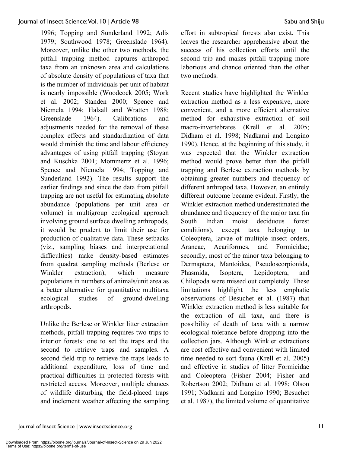1996; Topping and Sunderland 1992; Adis 1979; Southwood 1978; Greenslade 1964). Moreover, unlike the other two methods, the pitfall trapping method captures arthropod taxa from an unknown area and calculations of absolute density of populations of taxa that is the number of individuals per unit of habitat is nearly impossible (Woodcock 2005; Work et al. 2002; Standen 2000; Spence and Niemela 1994; Halsall and Wratten 1988; Greenslade 1964). Calibrations and adjustments needed for the removal of these complex effects and standardization of data would diminish the time and labour efficiency advantages of using pitfall trapping (Stoyan and Kuschka 2001; Mommertz et al. 1996; Spence and Niemela 1994; Topping and Sunderland 1992). The results support the earlier findings and since the data from pitfall trapping are not useful for estimating absolute abundance (populations per unit area or volume) in multigroup ecological approach involving ground surface dwelling arthropods, it would be prudent to limit their use for production of qualitative data. These setbacks (viz., sampling biases and interpretational difficulties) make density-based estimates from quadrat sampling methods (Berlese or Winkler extraction), which measure populations in numbers of animals/unit area as a better alternative for quantitative multitaxa ecological studies of ground-dwelling arthropods.

Unlike the Berlese or Winkler litter extraction methods, pitfall trapping requires two trips to interior forests: one to set the traps and the second to retrieve traps and samples. A second field trip to retrieve the traps leads to additional expenditure, loss of time and practical difficulties in protected forests with restricted access. Moreover, multiple chances of wildlife disturbing the field-placed traps and inclement weather affecting the sampling effort in subtropical forests also exist. This leaves the researcher apprehensive about the success of his collection efforts until the second trip and makes pitfall trapping more laborious and chance oriented than the other two methods.

Recent studies have highlighted the Winkler extraction method as a less expensive, more convenient, and a more efficient alternative method for exhaustive extraction of soil macro-invertebrates (Krell et al. 2005; Didham et al. 1998; Nadkarni and Longino 1990). Hence, at the beginning of this study, it was expected that the Winkler extraction method would prove better than the pitfall trapping and Berlese extraction methods by obtaining greater numbers and frequency of different arthropod taxa. However, an entirely different outcome became evident. Firstly, the Winkler extraction method underestimated the abundance and frequency of the major taxa (in South Indian moist deciduous forest conditions), except taxa belonging to Coleoptera, larvae of multiple insect orders, Araneae, Acariformes, and Formicidae; secondly, most of the minor taxa belonging to Dermaptera, Mantoidea, Pseudoscorpionida, Phasmida, Isoptera, Lepidoptera, and Chilopoda were missed out completely. These limitations highlight the less emphatic observations of Besuchet et al. (1987) that Winkler extraction method is less suitable for the extraction of all taxa, and there is possibility of death of taxa with a narrow ecological tolerance before dropping into the collection jars. Although Winkler extractions are cost effective and convenient with limited time needed to sort fauna (Krell et al. 2005) and effective in studies of litter Formicidae and Coleoptera (Fisher 2004; Fisher and Robertson 2002; Didham et al. 1998; Olson 1991; Nadkarni and Longino 1990; Besuchet et al. 1987), the limited volume of quantitative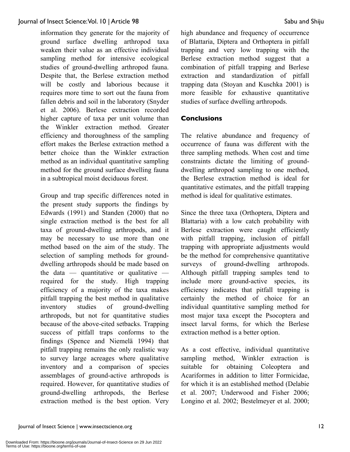information they generate for the majority of ground surface dwelling arthropod taxa weaken their value as an effective individual sampling method for intensive ecological studies of ground-dwelling arthropod fauna. Despite that, the Berlese extraction method will be costly and laborious because it requires more time to sort out the fauna from fallen debris and soil in the laboratory (Snyder et al. 2006). Berlese extraction recorded higher capture of taxa per unit volume than the Winkler extraction method. Greater efficiency and thoroughness of the sampling effort makes the Berlese extraction method a better choice than the Winkler extraction method as an individual quantitative sampling method for the ground surface dwelling fauna in a subtropical moist deciduous forest.

Group and trap specific differences noted in the present study supports the findings by Edwards (1991) and Standen (2000) that no single extraction method is the best for all taxa of ground-dwelling arthropods, and it may be necessary to use more than one method based on the aim of the study. The selection of sampling methods for grounddwelling arthropods should be made based on the data — quantitative or qualitative required for the study. High trapping efficiency of a majority of the taxa makes pitfall trapping the best method in qualitative inventory studies of ground-dwelling arthropods, but not for quantitative studies because of the above-cited setbacks. Trapping success of pitfall traps conforms to the findings (Spence and Niemelä 1994) that pitfall trapping remains the only realistic way to survey large acreages where qualitative inventory and a comparison of species assemblages of ground-active arthropods is required. However, for quantitative studies of ground-dwelling arthropods, the Berlese extraction method is the best option. Very high abundance and frequency of occurrence of Blattaria, Diptera and Orthoptera in pitfall trapping and very low trapping with the Berlese extraction method suggest that a combination of pitfall trapping and Berlese extraction and standardization of pitfall trapping data (Stoyan and Kuschka 2001) is more feasible for exhaustive quantitative studies of surface dwelling arthropods.

### **Conclusions**

The relative abundance and frequency of occurrence of fauna was different with the three sampling methods. When cost and time constraints dictate the limiting of grounddwelling arthropod sampling to one method, the Berlese extraction method is ideal for quantitative estimates, and the pitfall trapping method is ideal for qualitative estimates.

Since the three taxa (Orthoptera, Diptera and Blattaria) with a low catch probability with Berlese extraction were caught efficiently with pitfall trapping, inclusion of pitfall trapping with appropriate adjustments would be the method for comprehensive quantitative surveys of ground-dwelling arthropods. Although pitfall trapping samples tend to include more ground-active species, its efficiency indicates that pitfall trapping is certainly the method of choice for an individual quantitative sampling method for most major taxa except the Psocoptera and insect larval forms, for which the Berlese extraction method is a better option.

As a cost effective, individual quantitative sampling method, Winkler extraction is suitable for obtaining Coleoptera and Acariformes in addition to litter Formicidae, for which it is an established method (Delabie et al. 2007; Underwood and Fisher 2006; Longino et al. 2002; Bestelmeyer et al. 2000;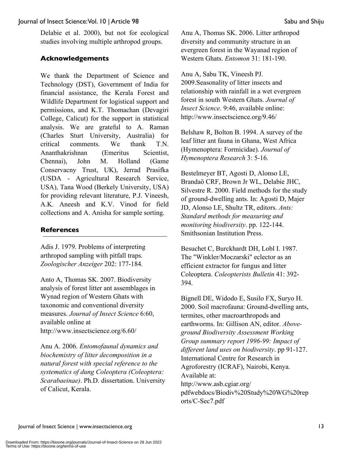Delabie et al. 2000), but not for ecological studies involving multiple arthropod groups.

## **Acknowledgements**

We thank the Department of Science and Technology (DST), Government of India for financial assistance, the Kerala Forest and Wildlife Department for logistical support and permissions, and K.T. Thomachan (Devagiri College, Calicut) for the support in statistical analysis. We are grateful to A. Raman (Charles Sturt University, Australia) for critical comments. We thank T.N. Ananthakrishnan (Emeritus Scientist, Chennai), John M. Holland (Game Conservacny Trust, UK), Jerrad Prasifka (USDA - Agricultural Research Service, USA), Tana Wood (Berkely University, USA) for providing relevant literature, P.J. Vineesh, A.K. Aneesh and K.V. Vinod for field collections and A. Anisha for sample sorting.

### **References**

Adis J. 1979. Problems of interpreting arthropod sampling with pitfall traps. *Zoologischer Anzeiger* 202: 177-184.

Anto A, Thomas SK. 2007. Biodiversity analysis of forest litter ant assemblages in Wynad region of Western Ghats with taxonomic and conventional diversity measures. *Journal of Insect Science* 6:60, available online at http://www.insectscience.org/6.60/

Anu A. 2006. *Entomofaunal dynamics and biochemistry of litter decomposition in a natural forest with special reference to the systematics of dung Coleoptera (Coleoptera: Scarabaeinae)*. Ph.D. dissertation. University of Calicut, Kerala.

Anu A, Thomas SK. 2006. Litter arthropod diversity and community structure in an evergreen forest in the Wayanad region of Western Ghats. *Entomon* 31: 181-190.

Anu A, Sabu TK, Vineesh PJ. 2009.Seasonality of litter insects and relationship with rainfall in a wet evergreen forest in south Western Ghats. *Journal of Insect Science.* 9:46, available online: http://www.insectscience.org/9.46/

Belshaw R, Bolton B. 1994. A survey of the leaf litter ant fauna in Ghana, West Africa (Hymenoptera: Formicidae). *Journal of Hymenoptera Research* 3: 5-16.

Bestelmeyer BT, Agosti D, Alonso LE, Brandaö CRF, Brown Jr WL, Delabie JHC, Silvestre R. 2000. Field methods for the study of ground-dwelling ants. In: Agosti D, Majer JD, Alonso LE, Shultz TR, editors. *Ants: Standard methods for measuring and monitoring biodiversity*. pp. 122-144. Smithsonian Institution Press.

Besuchet C, Burckhardt DH, Lobl I. 1987. The "Winkler/Moczarski" eclector as an efficient extractor for fungus and litter Coleoptera. *Coleopterists Bulletin* 41: 392- 394.

Bignell DE, Widodo E, Susilo FX, Suryo H. 2000. Soil macrofauna: Ground-dwelling ants, termites, other macroarthropods and earthworms. In: Gillison AN, editor. *Aboveground Biodiversity Assessment Working Group summary report 1996-99: Impact of different land uses on biodiversity*. pp 91-127. International Centre for Research in Agroforestry (ICRAF), Nairobi, Kenya. Available at: http://www.asb.cgiar.org/ pdfwebdocs/Biodiv%20Study%20WG%20rep

orts/C-Sec7.pdf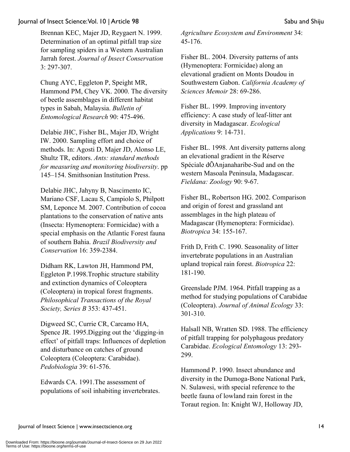Brennan KEC, Majer JD, Reygaert N. 1999. Determination of an optimal pitfall trap size for sampling spiders in a Western Australian Jarrah forest. *Journal of Insect Conservation* 3: 297-307.

Chung AYC, Eggleton P, Speight MR, Hammond PM, Chey VK. 2000. The diversity of beetle assemblages in different habitat types in Sabah, Malaysia. *Bulletin of Entomological Research* 90: 475-496.

Delabie JHC, Fisher BL, Majer JD, Wright IW. 2000. Sampling effort and choice of methods. In: Agosti D, Majer JD, Alonso LE, Shultz TR, editors. *Ants: standard methods for measuring and monitoring biodiversity*. pp 145–154. Smithsonian Institution Press.

Delabie JHC, Jahyny B, Nascimento IC, Mariano CSF, Lacau S, Campiolo S, Philpott SM, Leponce M. 2007. Contribution of cocoa plantations to the conservation of native ants (Insecta: Hymenoptera: Formicidae) with a special emphasis on the Atlantic Forest fauna of southern Bahia. *Brazil Biodiversity and Conservation* 16: 359-2384.

Didham RK, Lawton JH, Hammond PM, Eggleton P.1998.Trophic structure stability and extinction dynamics of Coleoptera (Coleoptera) in tropical forest fragments. *Philosophical Transactions of the Royal Society, Series B* 353: 437-451.

Digweed SC, Currie CR, Carcamo HA, Spence JR. 1995.Digging out the 'digging-in effect' of pitfall traps: Influences of depletion and disturbance on catches of ground Coleoptera (Coleoptera: Carabidae). *Pedobiologia* 39: 61-576.

Edwards CA. 1991.The assessment of populations of soil inhabiting invertebrates. *Agriculture Ecosystem and Environment* 34: 45-176.

Fisher BL. 2004. Diversity patterns of ants (Hymenoptera: Formicidae) along an elevational gradient on Monts Doudou in Southwestern Gabon. *California Academy of Sciences Memoir* 28: 69-286.

Fisher BL. 1999. Improving inventory efficiency: A case study of leaf-litter ant diversity in Madagascar. *Ecological Applications* 9: 14-731.

Fisher BL. 1998. Ant diversity patterns along an elevational gradient in the Réserve Spéciale dÕAnjanaharibe-Sud and on the western Masoala Peninsula, Madagascar. *Fieldana: Zoology* 90: 9-67.

Fisher BL, Robertson HG. 2002. Comparison and origin of forest and grassland ant assemblages in the high plateau of Madagascar (Hymenoptera: Formicidae). *Biotropica* 34: 155-167.

Frith D, Frith C. 1990. Seasonality of litter invertebrate populations in an Australian upland tropical rain forest. *Biotropica* 22: 181-190.

Greenslade PJM. 1964. Pitfall trapping as a method for studying populations of Carabidae (Coleoptera). *Journal of Animal Ecology* 33: 301-310.

Halsall NB, Wratten SD. 1988. The efficiency of pitfall trapping for polyphagous predatory Carabidae. *Ecological Entomology* 13: 293- 299.

Hammond P. 1990. Insect abundance and diversity in the Dumoga-Bone National Park, N. Sulawesi, with special reference to the beetle fauna of lowland rain forest in the Toraut region. In: Knight WJ, Holloway JD,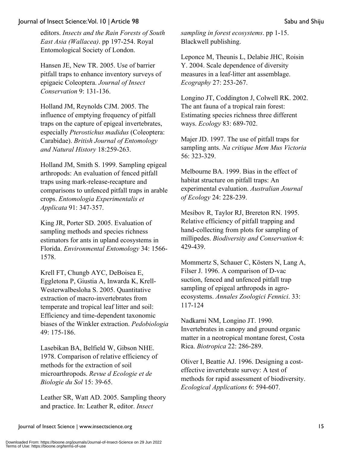editors. *Insects and the Rain Forests of South East Asia (Wallacea)*. pp 197-254. Royal Entomological Society of London.

Hansen JE, New TR. 2005. Use of barrier pitfall traps to enhance inventory surveys of epigaeic Coleoptera. *Journal of Insect Conservation* 9: 131-136.

Holland JM, Reynolds CJM. 2005. The influence of emptying frequency of pitfall traps on the capture of epigeal invertebrates, especially *Pterostichus madidus* (Coleoptera: Carabidae). *British Journal of Entomology and Natural History* 18:259-263.

Holland JM, Smith S. 1999. Sampling epigeal arthropods: An evaluation of fenced pitfall traps using mark-release-recapture and comparisons to unfenced pitfall traps in arable crops. *Entomologia Experimentalis et Applicata* 91: 347-357.

King JR, Porter SD. 2005. Evaluation of sampling methods and species richness estimators for ants in upland ecosystems in Florida. *Environmental Entomology* 34: 1566- 1578.

Krell FT, Chungb AYC, DeBoisea E, Eggletona P, Giustia A, Inwarda K, Krell-Westerwalbesloha S. 2005. Quantitative extraction of macro-invertebrates from temperate and tropical leaf litter and soil: Efficiency and time-dependent taxonomic biases of the Winkler extraction. *Pedobiologia* 49: 175-186.

Lasebikan BA, Belfield W, Gibson NHE. 1978. Comparison of relative efficiency of methods for the extraction of soil microarthropods. *Revue d Ecologie et de Biologie du Sol* 15: 39-65.

Leather SR, Watt AD. 2005. Sampling theory and practice. In: Leather R, editor. *Insect*

*sampling in forest ecosystems*. pp 1-15. Blackwell publishing.

Leponce M, Theunis L, Delabie JHC, Roisin Y. 2004. Scale dependence of diversity measures in a leaf-litter ant assemblage. *Ecography* 27: 253-267.

Longino JT, Coddington J, Colwell RK. 2002. The ant fauna of a tropical rain forest: Estimating species richness three different ways. *Ecology* 83: 689-702.

Majer JD. 1997. The use of pitfall traps for sampling ants. *Na critique Mem Mus Victoria* 56: 323-329.

Melbourne BA. 1999. Bias in the effect of habitat structure on pitfall traps: An experimental evaluation. *Australian Journal of Ecology* 24: 228-239.

Mesibov R, Taylor RJ, Brereton RN. 1995. Relative efficiency of pitfall trapping and hand-collecting from plots for sampling of millipedes. *Biodiversity and Conservation* 4: 429-439.

Mommertz S, Schauer C, Kösters N, Lang A, Filser J. 1996. A comparison of D-vac suction, fenced and unfenced pitfall trap sampling of epigeal arthropods in agroecosystems. *Annales Zoologici Fennici*. 33: 117-124

Nadkarni NM, Longino JT. 1990. Invertebrates in canopy and ground organic matter in a neotropical montane forest, Costa Rica. *Biotropica* 22: 286-289.

Oliver I, Beattie AJ. 1996. Designing a costeffective invertebrate survey: A test of methods for rapid assessment of biodiversity. *Ecological Applications* 6: 594-607.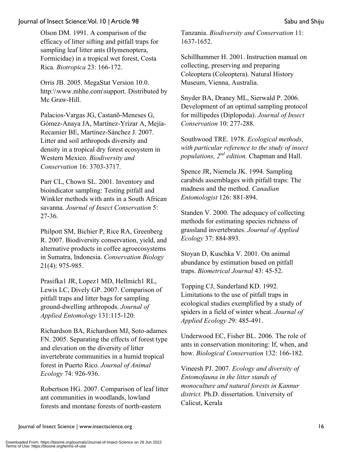Olson DM. 1991. A comparison of the efficacy of litter sifting and pitfall traps for sampling leaf litter ants (Hymenoptera, Formicidae) in a tropical wet forest, Costa Rica. *Biotropica* 23: 166-172.

Orris JB. 2005. MegaStat Version 10.0. http:\\www.mhhe.com\support. Distributed by Mc Graw-Hill.

Palacios-Vargas JG, Castanõ-Meneses G, Gómez-Anaya JA, Martínez-Yrizar A, Mejía-Recamier BE, Martínez-Sánchez J. 2007. Litter and soil arthropods diversity and density in a tropical dry forest ecosystem in Western Mexico. *Biodiversity and Conservation* 16: 3703-3717.

Parr CL, Chown SL. 2001. Inventory and bioindicator sampling: Testing pitfall and Winkler methods with ants in a South African savanna. *Journal of Insect Conservation* 5: 27-36.

Philpott SM, Bichier P, Rice RA, Greenberg R. 2007. Biodiversity conservation, yield, and alternative products in coffee agroecosystems in Sumatra, Indonesia. *Conservation Biology* 21(4): 975-985.

Prasifka1 JR, Lopez1 MD, Hellmich1 RL, Lewis LC, Dively GP. 2007. Comparison of pitfall traps and litter bags for sampling ground-dwelling arthropods. *Journal of Applied Entomology* 131:115-120.

Richardson BA, Richardson MJ, Soto-adames FN. 2005. Separating the effects of forest type and elevation on the diversity of litter invertebrate communities in a humid tropical forest in Puerto Rico*. Journal of Animal Ecology* 74: 926-936.

Robertson HG. 2007. Comparison of leaf litter ant communities in woodlands, lowland forests and montane forests of north-eastern

Tanzania. *Biodiversity and Conservation* 11: 1637-1652.

Schillhammer H. 2001. Instruction manual on collecting, preserving and preparing Coleoptera (Coleoptera). Natural History Museum, Vienna, Australia.

Snyder BA, Draney ML, Sierwald P. 2006. Development of an optimal sampling protocol for millipedes (Diplopoda). *Journal of Insect Conservation* 10: 277-288.

Southwood TRE. 1978. *Ecological methods, with particular reference to the study of insect populations, 2nd edition.* Chapman and Hall.

Spence JR, Niemela JK. 1994. Sampling carabids assemblages with pitfall traps: The madness and the method. *Canadian Entomologist* 126: 881-894.

Standen V. 2000. The adequacy of collecting methods for estimating species richness of grassland invertebrates. *Journal of Applied Ecology* 37: 884-893.

Stoyan D, Kuschka V. 2001. On animal abundance by estimation based on pitfall traps. *Biometrical Journal* 43: 45-52.

Topping CJ, Sunderland KD. 1992. Limitations to the use of pitfall traps in ecological studies exemplified by a study of spiders in a field of winter wheat. *Journal of Applied Ecology 2*9: 485-491.

Underwood EC, Fisher BL. 2006. The role of ants in conservation monitoring: If, when, and how. *Biological Conservation* 132: 166-182.

Vineesh PJ. 2007. *Ecology and diversity of Entomofauna in the litter stands of monoculture and natural forests in Kannur district.* Ph.D. dissertation. University of Calicut, Kerala